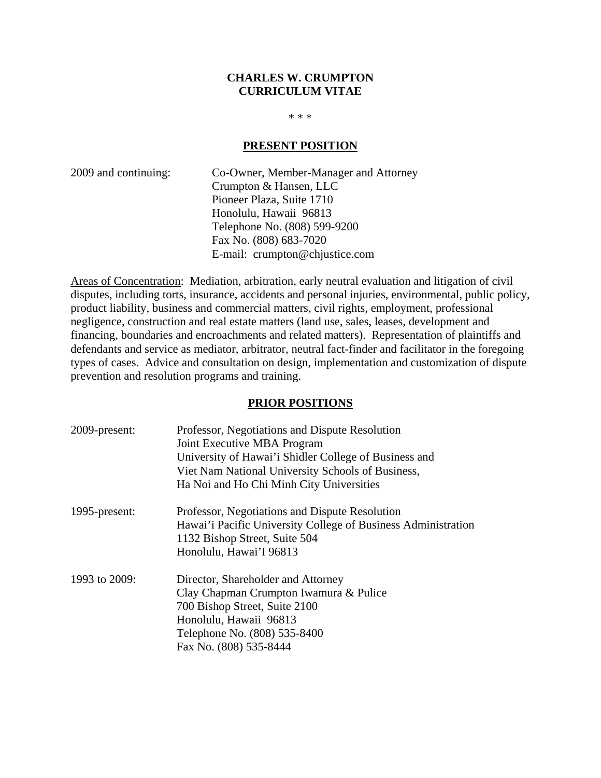#### **CHARLES W. CRUMPTON CURRICULUM VITAE**

 $* * *$ 

#### **PRESENT POSITION**

2009 and continuing: Co-Owner, Member-Manager and Attorney Crumpton & Hansen, LLC Pioneer Plaza, Suite 1710 Honolulu, Hawaii 96813 Telephone No. (808) 599-9200 Fax No. (808) 683-7020 E-mail: crumpton@chjustice.com

Areas of Concentration: Mediation, arbitration, early neutral evaluation and litigation of civil disputes, including torts, insurance, accidents and personal injuries, environmental, public policy, product liability, business and commercial matters, civil rights, employment, professional negligence, construction and real estate matters (land use, sales, leases, development and financing, boundaries and encroachments and related matters). Representation of plaintiffs and defendants and service as mediator, arbitrator, neutral fact-finder and facilitator in the foregoing types of cases. Advice and consultation on design, implementation and customization of dispute prevention and resolution programs and training.

#### **PRIOR POSITIONS**

| 2009-present: | Professor, Negotiations and Dispute Resolution                |
|---------------|---------------------------------------------------------------|
|               | Joint Executive MBA Program                                   |
|               | University of Hawai'i Shidler College of Business and         |
|               | Viet Nam National University Schools of Business,             |
|               | Ha Noi and Ho Chi Minh City Universities                      |
| 1995-present: | Professor, Negotiations and Dispute Resolution                |
|               | Hawai'i Pacific University College of Business Administration |
|               | 1132 Bishop Street, Suite 504                                 |
|               | Honolulu, Hawai'I 96813                                       |
| 1993 to 2009: | Director, Shareholder and Attorney                            |
|               | Clay Chapman Crumpton Iwamura & Pulice                        |
|               | 700 Bishop Street, Suite 2100                                 |
|               | Honolulu, Hawaii 96813                                        |
|               | Telephone No. (808) 535-8400                                  |
|               | Fax No. (808) 535-8444                                        |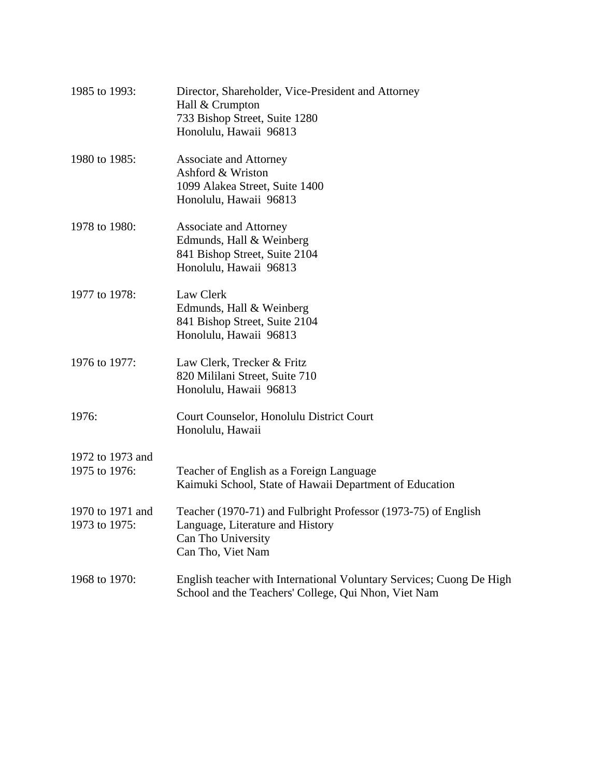| 1985 to 1993:                     | Director, Shareholder, Vice-President and Attorney<br>Hall & Crumpton<br>733 Bishop Street, Suite 1280<br>Honolulu, Hawaii 96813              |
|-----------------------------------|-----------------------------------------------------------------------------------------------------------------------------------------------|
| 1980 to 1985:                     | <b>Associate and Attorney</b><br>Ashford & Wriston<br>1099 Alakea Street, Suite 1400<br>Honolulu, Hawaii 96813                                |
| 1978 to 1980:                     | <b>Associate and Attorney</b><br>Edmunds, Hall & Weinberg<br>841 Bishop Street, Suite 2104<br>Honolulu, Hawaii 96813                          |
| 1977 to 1978:                     | Law Clerk<br>Edmunds, Hall & Weinberg<br>841 Bishop Street, Suite 2104<br>Honolulu, Hawaii 96813                                              |
| 1976 to 1977:                     | Law Clerk, Trecker & Fritz<br>820 Mililani Street, Suite 710<br>Honolulu, Hawaii 96813                                                        |
| 1976:                             | Court Counselor, Honolulu District Court<br>Honolulu, Hawaii                                                                                  |
| 1972 to 1973 and<br>1975 to 1976: | Teacher of English as a Foreign Language<br>Kaimuki School, State of Hawaii Department of Education                                           |
| 1970 to 1971 and<br>1973 to 1975: | Teacher (1970-71) and Fulbright Professor (1973-75) of English<br>Language, Literature and History<br>Can Tho University<br>Can Tho, Viet Nam |
| 1968 to 1970:                     | English teacher with International Voluntary Services; Cuong De High<br>School and the Teachers' College, Qui Nhon, Viet Nam                  |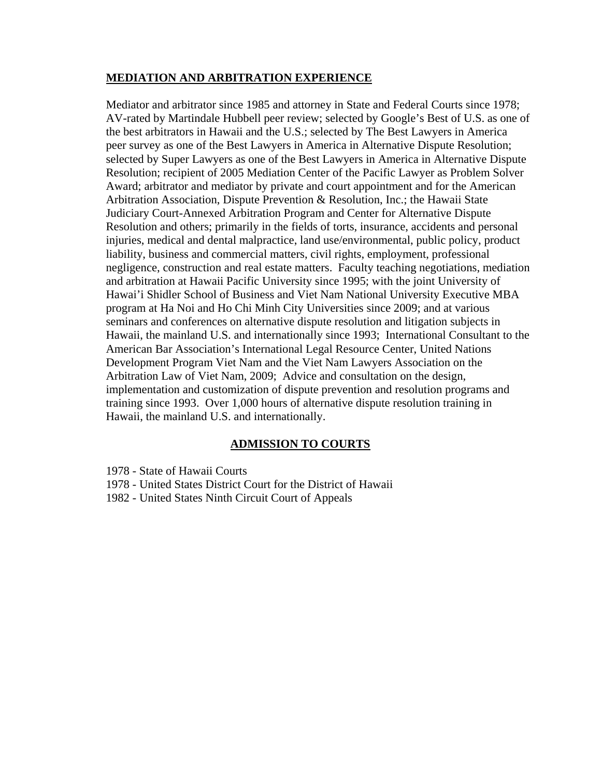#### **MEDIATION AND ARBITRATION EXPERIENCE**

Mediator and arbitrator since 1985 and attorney in State and Federal Courts since 1978; AV-rated by Martindale Hubbell peer review; selected by Google's Best of U.S. as one of the best arbitrators in Hawaii and the U.S.; selected by The Best Lawyers in America peer survey as one of the Best Lawyers in America in Alternative Dispute Resolution; selected by Super Lawyers as one of the Best Lawyers in America in Alternative Dispute Resolution; recipient of 2005 Mediation Center of the Pacific Lawyer as Problem Solver Award; arbitrator and mediator by private and court appointment and for the American Arbitration Association, Dispute Prevention & Resolution, Inc.; the Hawaii State Judiciary Court-Annexed Arbitration Program and Center for Alternative Dispute Resolution and others; primarily in the fields of torts, insurance, accidents and personal injuries, medical and dental malpractice, land use/environmental, public policy, product liability, business and commercial matters, civil rights, employment, professional negligence, construction and real estate matters. Faculty teaching negotiations, mediation and arbitration at Hawaii Pacific University since 1995; with the joint University of Hawai'i Shidler School of Business and Viet Nam National University Executive MBA program at Ha Noi and Ho Chi Minh City Universities since 2009; and at various seminars and conferences on alternative dispute resolution and litigation subjects in Hawaii, the mainland U.S. and internationally since 1993; International Consultant to the American Bar Association's International Legal Resource Center, United Nations Development Program Viet Nam and the Viet Nam Lawyers Association on the Arbitration Law of Viet Nam, 2009; Advice and consultation on the design, implementation and customization of dispute prevention and resolution programs and training since 1993. Over 1,000 hours of alternative dispute resolution training in Hawaii, the mainland U.S. and internationally.

# **ADMISSION TO COURTS**

- 1978 State of Hawaii Courts
- 1978 United States District Court for the District of Hawaii
- 1982 United States Ninth Circuit Court of Appeals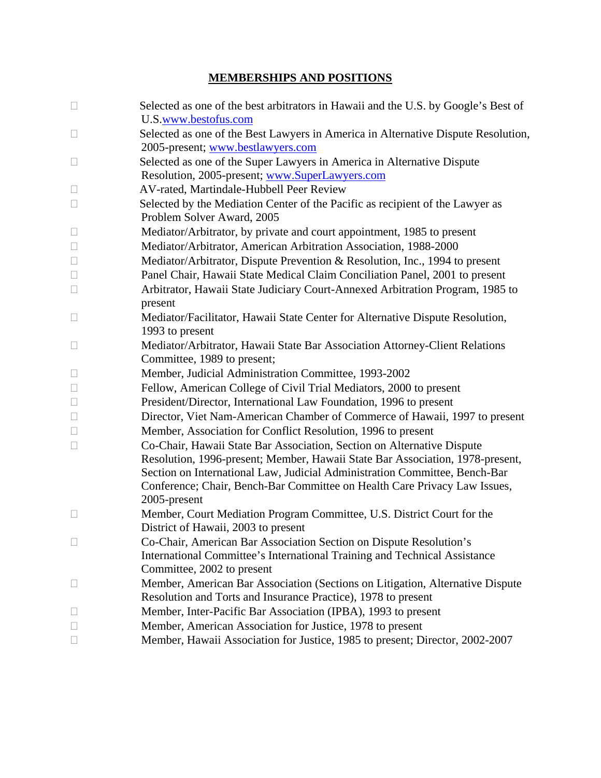# **MEMBERSHIPS AND POSITIONS**

| $\Box$ | Selected as one of the best arbitrators in Hawaii and the U.S. by Google's Best of |
|--------|------------------------------------------------------------------------------------|
|        | U.S.www.bestofus.com                                                               |
| $\Box$ | Selected as one of the Best Lawyers in America in Alternative Dispute Resolution,  |
|        | 2005-present; www.bestlawyers.com                                                  |
| $\Box$ | Selected as one of the Super Lawyers in America in Alternative Dispute             |
|        | Resolution, 2005-present; www.SuperLawyers.com                                     |
| $\Box$ | AV-rated, Martindale-Hubbell Peer Review                                           |
| $\Box$ | Selected by the Mediation Center of the Pacific as recipient of the Lawyer as      |
|        | Problem Solver Award, 2005                                                         |
| $\Box$ | Mediator/Arbitrator, by private and court appointment, 1985 to present             |
| $\Box$ | Mediator/Arbitrator, American Arbitration Association, 1988-2000                   |
| $\Box$ | Mediator/Arbitrator, Dispute Prevention & Resolution, Inc., 1994 to present        |
| $\Box$ | Panel Chair, Hawaii State Medical Claim Conciliation Panel, 2001 to present        |
| $\Box$ | Arbitrator, Hawaii State Judiciary Court-Annexed Arbitration Program, 1985 to      |
|        | present                                                                            |
| $\Box$ | Mediator/Facilitator, Hawaii State Center for Alternative Dispute Resolution,      |
|        | 1993 to present                                                                    |
| $\Box$ | Mediator/Arbitrator, Hawaii State Bar Association Attorney-Client Relations        |
|        | Committee, 1989 to present;                                                        |
| $\Box$ | Member, Judicial Administration Committee, 1993-2002                               |
| $\Box$ | Fellow, American College of Civil Trial Mediators, 2000 to present                 |
| $\Box$ | President/Director, International Law Foundation, 1996 to present                  |
| $\Box$ | Director, Viet Nam-American Chamber of Commerce of Hawaii, 1997 to present         |
| $\Box$ | Member, Association for Conflict Resolution, 1996 to present                       |
| $\Box$ | Co-Chair, Hawaii State Bar Association, Section on Alternative Dispute             |
|        | Resolution, 1996-present; Member, Hawaii State Bar Association, 1978-present,      |
|        | Section on International Law, Judicial Administration Committee, Bench-Bar         |
|        | Conference; Chair, Bench-Bar Committee on Health Care Privacy Law Issues,          |
|        | 2005-present                                                                       |
| $\Box$ | Member, Court Mediation Program Committee, U.S. District Court for the             |
|        | District of Hawaii, 2003 to present                                                |
|        | Co-Chair, American Bar Association Section on Dispute Resolution's                 |
|        | International Committee's International Training and Technical Assistance          |
|        | Committee, 2002 to present                                                         |
| Ш      | Member, American Bar Association (Sections on Litigation, Alternative Dispute      |
|        | Resolution and Torts and Insurance Practice), 1978 to present                      |
| $\Box$ | Member, Inter-Pacific Bar Association (IPBA), 1993 to present                      |
| $\Box$ | Member, American Association for Justice, 1978 to present                          |
| $\Box$ | Member, Hawaii Association for Justice, 1985 to present; Director, 2002-2007       |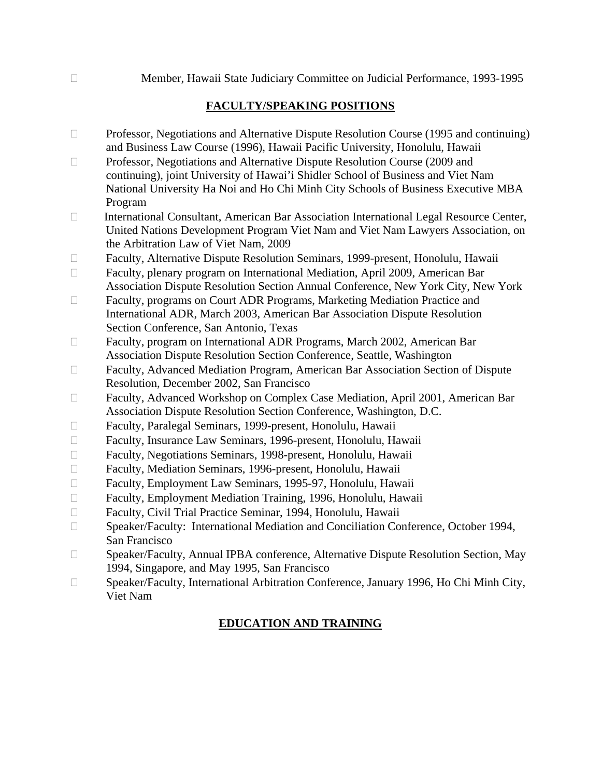Member, Hawaii State Judiciary Committee on Judicial Performance, 1993-1995

# **FACULTY/SPEAKING POSITIONS**

- $\Box$  Professor, Negotiations and Alternative Dispute Resolution Course (1995 and continuing) and Business Law Course (1996), Hawaii Pacific University, Honolulu, Hawaii
- □ Professor, Negotiations and Alternative Dispute Resolution Course (2009 and continuing), joint University of Hawai'i Shidler School of Business and Viet Nam National University Ha Noi and Ho Chi Minh City Schools of Business Executive MBA Program
- International Consultant, American Bar Association International Legal Resource Center, United Nations Development Program Viet Nam and Viet Nam Lawyers Association, on the Arbitration Law of Viet Nam, 2009
- Faculty, Alternative Dispute Resolution Seminars, 1999-present, Honolulu, Hawaii
- Faculty, plenary program on International Mediation, April 2009, American Bar Association Dispute Resolution Section Annual Conference, New York City, New York
- □ Faculty, programs on Court ADR Programs, Marketing Mediation Practice and International ADR, March 2003, American Bar Association Dispute Resolution Section Conference, San Antonio, Texas
- □ Faculty, program on International ADR Programs, March 2002, American Bar Association Dispute Resolution Section Conference, Seattle, Washington
- Faculty, Advanced Mediation Program, American Bar Association Section of Dispute Resolution, December 2002, San Francisco
- Faculty, Advanced Workshop on Complex Case Mediation, April 2001, American Bar Association Dispute Resolution Section Conference, Washington, D.C.
- Faculty, Paralegal Seminars, 1999-present, Honolulu, Hawaii
- Faculty, Insurance Law Seminars, 1996-present, Honolulu, Hawaii
- Faculty, Negotiations Seminars, 1998-present, Honolulu, Hawaii
- Faculty, Mediation Seminars, 1996-present, Honolulu, Hawaii
- Faculty, Employment Law Seminars, 1995-97, Honolulu, Hawaii
- Faculty, Employment Mediation Training, 1996, Honolulu, Hawaii
- Faculty, Civil Trial Practice Seminar, 1994, Honolulu, Hawaii
- □ Speaker/Faculty: International Mediation and Conciliation Conference, October 1994, San Francisco
- □ Speaker/Faculty, Annual IPBA conference, Alternative Dispute Resolution Section, May 1994, Singapore, and May 1995, San Francisco
- □ Speaker/Faculty, International Arbitration Conference, January 1996, Ho Chi Minh City, Viet Nam

# **EDUCATION AND TRAINING**